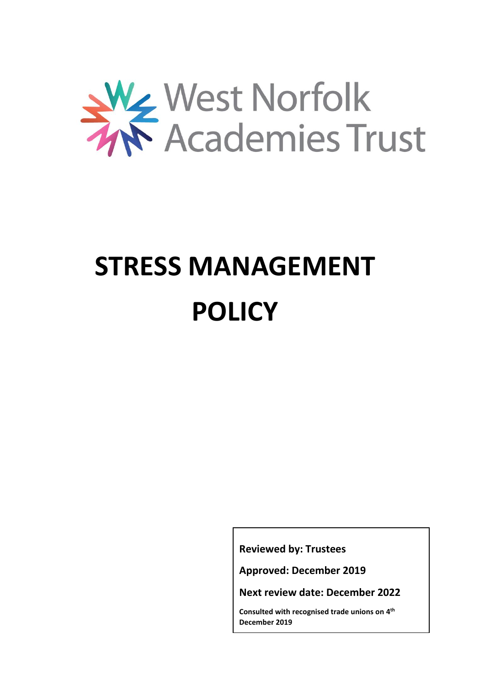

# **STRESS MANAGEMENT POLICY**

**Reviewed by: Trustees**

**Approved: December 2019**

**Next review date: December 2022** 

**Consulted with recognised trade unions on 4 th December 2019**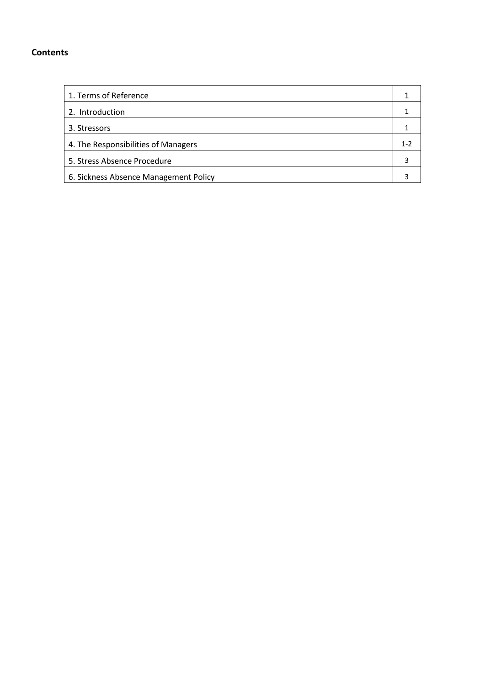# **Contents**

| 1. Terms of Reference                 |     |
|---------------------------------------|-----|
| 2. Introduction                       |     |
| 3. Stressors                          |     |
| 4. The Responsibilities of Managers   | 1-2 |
| 5. Stress Absence Procedure           |     |
| 6. Sickness Absence Management Policy |     |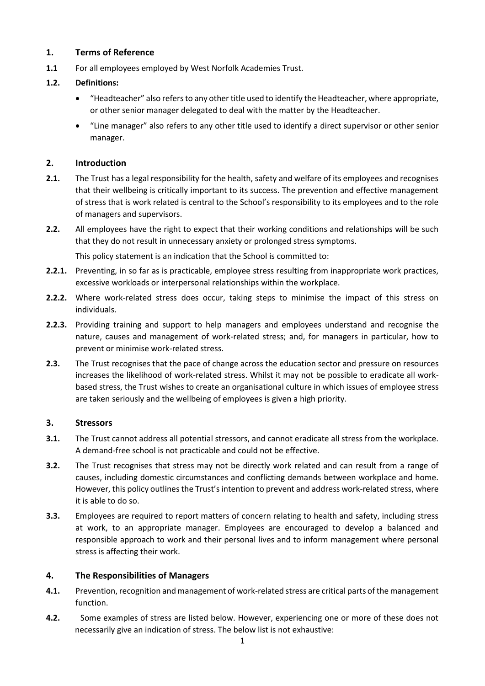### **1. Terms of Reference**

**1.1** For all employees employed by West Norfolk Academies Trust.

# **1.2. Definitions:**

- "Headteacher" also refers to any other title used to identify the Headteacher, where appropriate, or other senior manager delegated to deal with the matter by the Headteacher.
- "Line manager" also refers to any other title used to identify a direct supervisor or other senior manager.

### **2. Introduction**

- **2.1.** The Trust has a legal responsibility for the health, safety and welfare of its employees and recognises that their wellbeing is critically important to its success. The prevention and effective management of stress that is work related is central to the School's responsibility to its employees and to the role of managers and supervisors.
- **2.2.** All employees have the right to expect that their working conditions and relationships will be such that they do not result in unnecessary anxiety or prolonged stress symptoms.

This policy statement is an indication that the School is committed to:

- **2.2.1.** Preventing, in so far as is practicable, employee stress resulting from inappropriate work practices, excessive workloads or interpersonal relationships within the workplace.
- **2.2.2.** Where work-related stress does occur, taking steps to minimise the impact of this stress on individuals.
- **2.2.3.** Providing training and support to help managers and employees understand and recognise the nature, causes and management of work-related stress; and, for managers in particular, how to prevent or minimise work-related stress.
- **2.3.** The Trust recognises that the pace of change across the education sector and pressure on resources increases the likelihood of work-related stress. Whilst it may not be possible to eradicate all workbased stress, the Trust wishes to create an organisational culture in which issues of employee stress are taken seriously and the wellbeing of employees is given a high priority.

# **3. Stressors**

- **3.1.** The Trust cannot address all potential stressors, and cannot eradicate all stress from the workplace. A demand-free school is not practicable and could not be effective.
- **3.2.** The Trust recognises that stress may not be directly work related and can result from a range of causes, including domestic circumstances and conflicting demands between workplace and home. However, this policy outlines the Trust's intention to prevent and address work-related stress, where it is able to do so.
- **3.3.** Employees are required to report matters of concern relating to health and safety, including stress at work, to an appropriate manager. Employees are encouraged to develop a balanced and responsible approach to work and their personal lives and to inform management where personal stress is affecting their work.

# **4. The Responsibilities of Managers**

- **4.1.** Prevention, recognition and management of work-related stress are critical parts of the management function.
- **4.2.** Some examples of stress are listed below. However, experiencing one or more of these does not necessarily give an indication of stress. The below list is not exhaustive: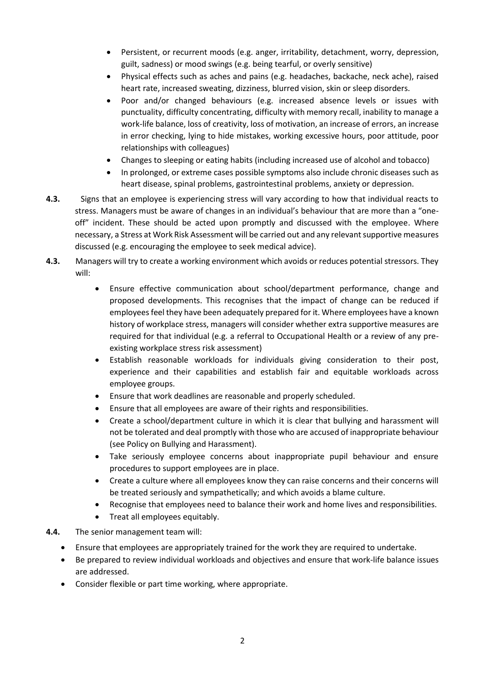- Persistent, or recurrent moods (e.g. anger, irritability, detachment, worry, depression, guilt, sadness) or mood swings (e.g. being tearful, or overly sensitive)
- Physical effects such as aches and pains (e.g. headaches, backache, neck ache), raised heart rate, increased sweating, dizziness, blurred vision, skin or sleep disorders.
- Poor and/or changed behaviours (e.g. increased absence levels or issues with punctuality, difficulty concentrating, difficulty with memory recall, inability to manage a work-life balance, loss of creativity, loss of motivation, an increase of errors, an increase in error checking, lying to hide mistakes, working excessive hours, poor attitude, poor relationships with colleagues)
- Changes to sleeping or eating habits (including increased use of alcohol and tobacco)
- In prolonged, or extreme cases possible symptoms also include chronic diseases such as heart disease, spinal problems, gastrointestinal problems, anxiety or depression.
- **4.3.** Signs that an employee is experiencing stress will vary according to how that individual reacts to stress. Managers must be aware of changes in an individual's behaviour that are more than a "oneoff" incident. These should be acted upon promptly and discussed with the employee. Where necessary, a Stress at Work Risk Assessment will be carried out and any relevant supportive measures discussed (e.g. encouraging the employee to seek medical advice).
- **4.3.** Managers will try to create a working environment which avoids or reduces potential stressors. They will:
	- Ensure effective communication about school/department performance, change and proposed developments. This recognises that the impact of change can be reduced if employees feel they have been adequately prepared for it. Where employees have a known history of workplace stress, managers will consider whether extra supportive measures are required for that individual (e.g. a referral to Occupational Health or a review of any preexisting workplace stress risk assessment)
	- Establish reasonable workloads for individuals giving consideration to their post, experience and their capabilities and establish fair and equitable workloads across employee groups.
	- Ensure that work deadlines are reasonable and properly scheduled.
	- Ensure that all employees are aware of their rights and responsibilities.
	- Create a school/department culture in which it is clear that bullying and harassment will not be tolerated and deal promptly with those who are accused of inappropriate behaviour (see Policy on Bullying and Harassment).
	- Take seriously employee concerns about inappropriate pupil behaviour and ensure procedures to support employees are in place.
	- Create a culture where all employees know they can raise concerns and their concerns will be treated seriously and sympathetically; and which avoids a blame culture.
	- Recognise that employees need to balance their work and home lives and responsibilities.
	- Treat all employees equitably.

#### **4.4.** The senior management team will:

- Ensure that employees are appropriately trained for the work they are required to undertake.
- Be prepared to review individual workloads and objectives and ensure that work-life balance issues are addressed.
- Consider flexible or part time working, where appropriate.